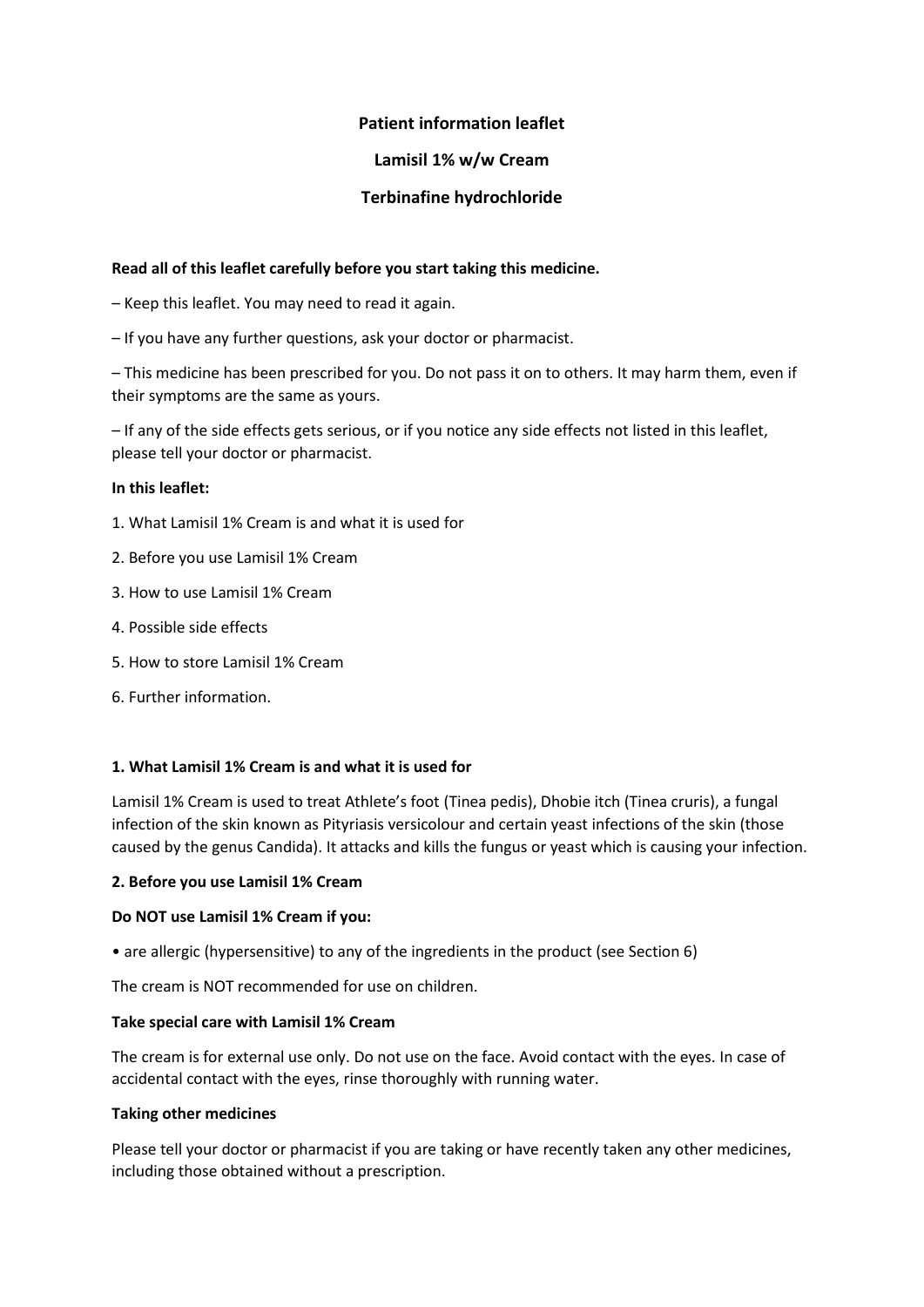## **Patient information leaflet**

## **Lamisil 1% w/w Cream**

# **Terbinafine hydrochloride**

## **Read all of this leaflet carefully before you start taking this medicine.**

- Keep this leaflet. You may need to read it again.
- If you have any further questions, ask your doctor or pharmacist.

– This medicine has been prescribed for you. Do not pass it on to others. It may harm them, even if their symptoms are the same as yours.

– If any of the side effects gets serious, or if you notice any side effects not listed in this leaflet, please tell your doctor or pharmacist.

## **In this leaflet:**

- 1. What Lamisil 1% Cream is and what it is used for
- 2. Before you use Lamisil 1% Cream
- 3. How to use Lamisil 1% Cream
- 4. Possible side effects
- 5. How to store Lamisil 1% Cream
- 6. Further information.

## **1. What Lamisil 1% Cream is and what it is used for**

Lamisil 1% Cream is used to treat Athlete's foot (Tinea pedis), Dhobie itch (Tinea cruris), a fungal infection of the skin known as Pityriasis versicolour and certain yeast infections of the skin (those caused by the genus Candida). It attacks and kills the fungus or yeast which is causing your infection.

#### **2. Before you use Lamisil 1% Cream**

#### **Do NOT use Lamisil 1% Cream if you:**

• are allergic (hypersensitive) to any of the ingredients in the product (see Section 6)

The cream is NOT recommended for use on children.

#### **Take special care with Lamisil 1% Cream**

The cream is for external use only. Do not use on the face. Avoid contact with the eyes. In case of accidental contact with the eyes, rinse thoroughly with running water.

#### **Taking other medicines**

Please tell your doctor or pharmacist if you are taking or have recently taken any other medicines, including those obtained without a prescription.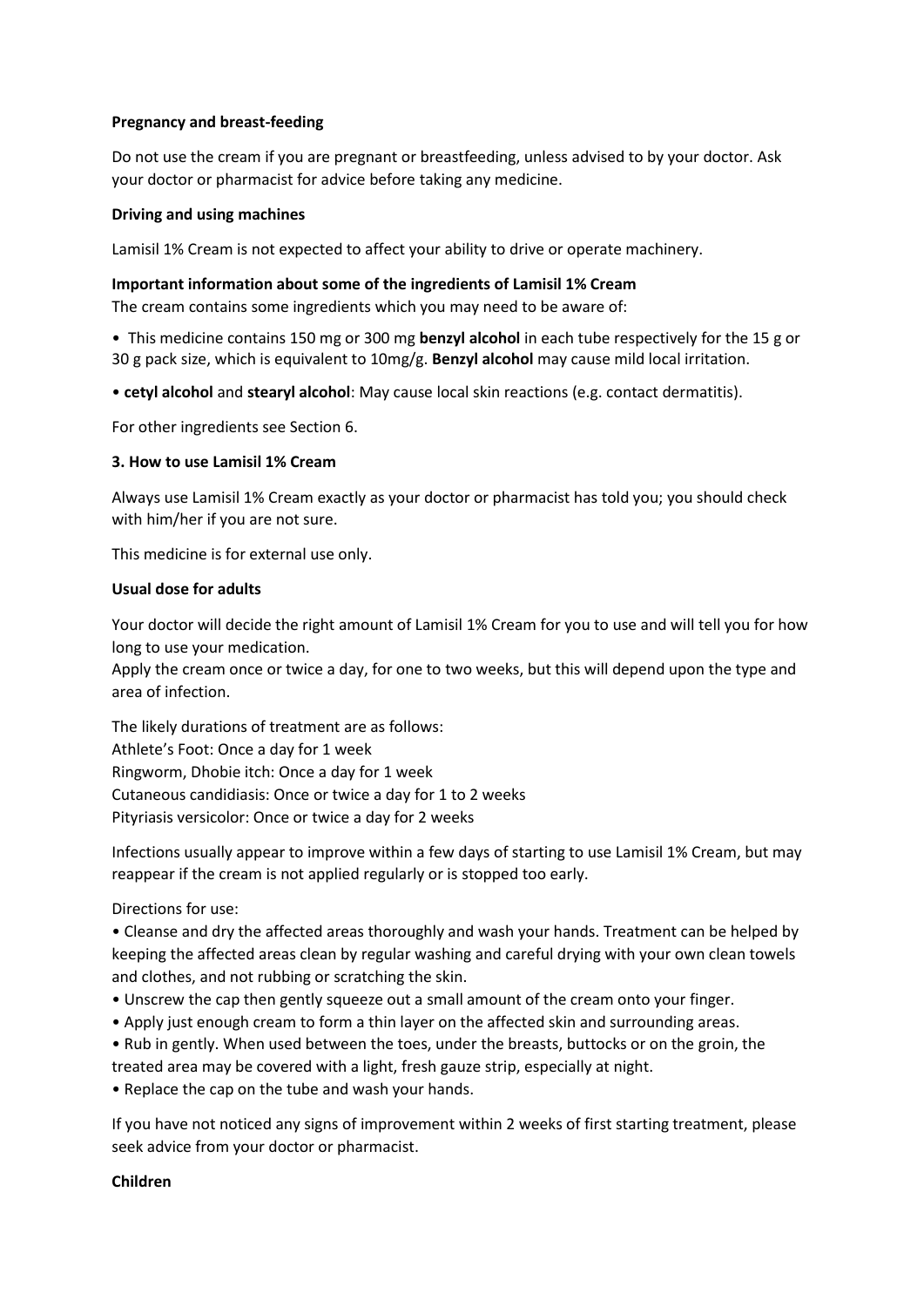### **Pregnancy and breast-feeding**

Do not use the cream if you are pregnant or breastfeeding, unless advised to by your doctor. Ask your doctor or pharmacist for advice before taking any medicine.

### **Driving and using machines**

Lamisil 1% Cream is not expected to affect your ability to drive or operate machinery.

#### **Important information about some of the ingredients of Lamisil 1% Cream**

The cream contains some ingredients which you may need to be aware of:

• This medicine contains 150 mg or 300 mg **benzyl alcohol** in each tube respectively for the 15 g or 30 g pack size, which is equivalent to 10mg/g. **Benzyl alcohol** may cause mild local irritation.

• **cetyl alcohol** and **stearyl alcohol**: May cause local skin reactions (e.g. contact dermatitis).

For other ingredients see Section 6.

### **3. How to use Lamisil 1% Cream**

Always use Lamisil 1% Cream exactly as your doctor or pharmacist has told you; you should check with him/her if you are not sure.

This medicine is for external use only.

### **Usual dose for adults**

Your doctor will decide the right amount of Lamisil 1% Cream for you to use and will tell you for how long to use your medication.

Apply the cream once or twice a day, for one to two weeks, but this will depend upon the type and area of infection.

The likely durations of treatment are as follows: Athlete's Foot: Once a day for 1 week Ringworm, Dhobie itch: Once a day for 1 week Cutaneous candidiasis: Once or twice a day for 1 to 2 weeks Pityriasis versicolor: Once or twice a day for 2 weeks

Infections usually appear to improve within a few days of starting to use Lamisil 1% Cream, but may reappear if the cream is not applied regularly or is stopped too early.

Directions for use:

• Cleanse and dry the affected areas thoroughly and wash your hands. Treatment can be helped by keeping the affected areas clean by regular washing and careful drying with your own clean towels and clothes, and not rubbing or scratching the skin.

- Unscrew the cap then gently squeeze out a small amount of the cream onto your finger.
- Apply just enough cream to form a thin layer on the affected skin and surrounding areas.
- Rub in gently. When used between the toes, under the breasts, buttocks or on the groin, the

treated area may be covered with a light, fresh gauze strip, especially at night.

• Replace the cap on the tube and wash your hands.

If you have not noticed any signs of improvement within 2 weeks of first starting treatment, please seek advice from your doctor or pharmacist.

**Children**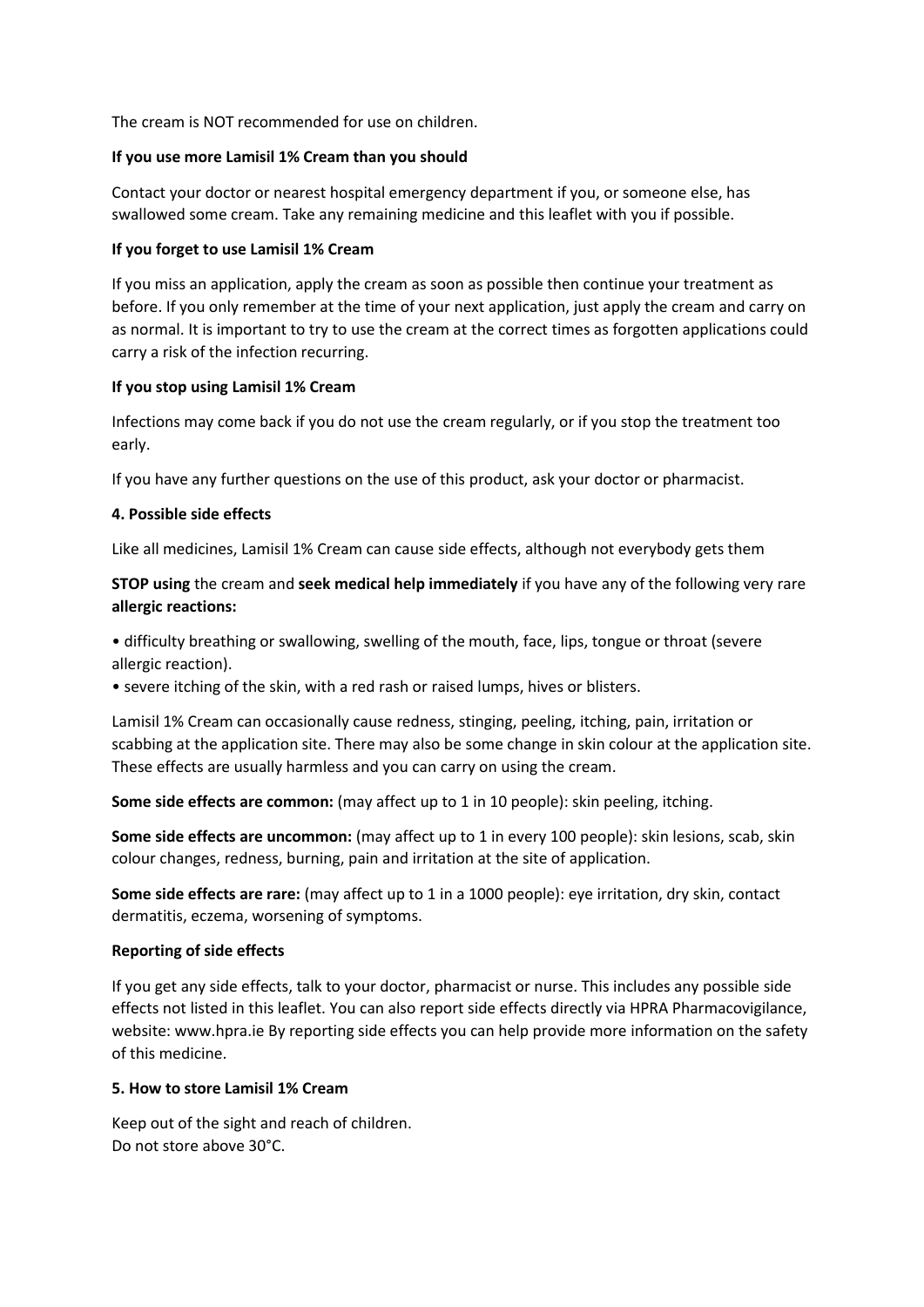The cream is NOT recommended for use on children.

### **If you use more Lamisil 1% Cream than you should**

Contact your doctor or nearest hospital emergency department if you, or someone else, has swallowed some cream. Take any remaining medicine and this leaflet with you if possible.

### **If you forget to use Lamisil 1% Cream**

If you miss an application, apply the cream as soon as possible then continue your treatment as before. If you only remember at the time of your next application, just apply the cream and carry on as normal. It is important to try to use the cream at the correct times as forgotten applications could carry a risk of the infection recurring.

### **If you stop using Lamisil 1% Cream**

Infections may come back if you do not use the cream regularly, or if you stop the treatment too early.

If you have any further questions on the use of this product, ask your doctor or pharmacist.

### **4. Possible side effects**

Like all medicines, Lamisil 1% Cream can cause side effects, although not everybody gets them

## **STOP using** the cream and **seek medical help immediately** if you have any of the following very rare **allergic reactions:**

• difficulty breathing or swallowing, swelling of the mouth, face, lips, tongue or throat (severe allergic reaction).

• severe itching of the skin, with a red rash or raised lumps, hives or blisters.

Lamisil 1% Cream can occasionally cause redness, stinging, peeling, itching, pain, irritation or scabbing at the application site. There may also be some change in skin colour at the application site. These effects are usually harmless and you can carry on using the cream.

**Some side effects are common:** (may affect up to 1 in 10 people): skin peeling, itching.

**Some side effects are uncommon:** (may affect up to 1 in every 100 people): skin lesions, scab, skin colour changes, redness, burning, pain and irritation at the site of application.

**Some side effects are rare:** (may affect up to 1 in a 1000 people): eye irritation, dry skin, contact dermatitis, eczema, worsening of symptoms.

## **Reporting of side effects**

If you get any side effects, talk to your doctor, pharmacist or nurse. This includes any possible side effects not listed in this leaflet. You can also report side effects directly via HPRA Pharmacovigilance, website: www.hpra.ie By reporting side effects you can help provide more information on the safety of this medicine.

## **5. How to store Lamisil 1% Cream**

Keep out of the sight and reach of children. Do not store above 30°C.